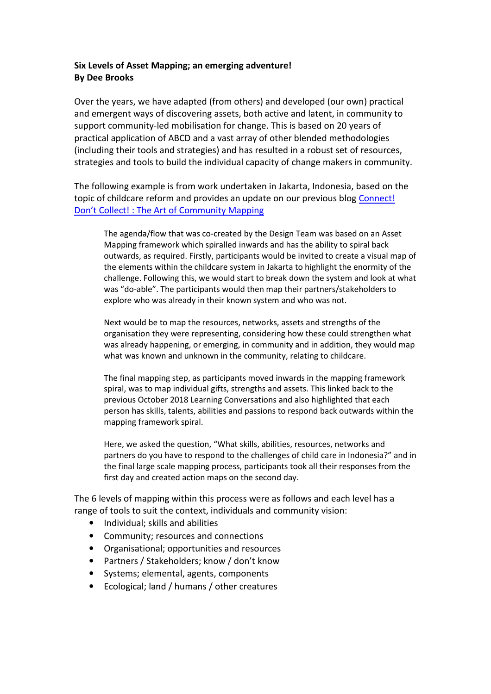## Six Levels of Asset Mapping; an emerging adventure! By Dee Brooks

Over the years, we have adapted (from others) and developed (our own) practical and emergent ways of discovering assets, both active and latent, in community to support community-led mobilisation for change. This is based on 20 years of practical application of ABCD and a vast array of other blended methodologies (including their tools and strategies) and has resulted in a robust set of resources, strategies and tools to build the individual capacity of change makers in community.

The following example is from work undertaken in Jakarta, Indonesia, based on the topic of childcare reform and provides an update on our previous blog Connect! Don't Collect! : The Art of Community Mapping

The agenda/flow that was co-created by the Design Team was based on an Asset Mapping framework which spiralled inwards and has the ability to spiral back outwards, as required. Firstly, participants would be invited to create a visual map of the elements within the childcare system in Jakarta to highlight the enormity of the challenge. Following this, we would start to break down the system and look at what was "do-able". The participants would then map their partners/stakeholders to explore who was already in their known system and who was not.

Next would be to map the resources, networks, assets and strengths of the organisation they were representing, considering how these could strengthen what was already happening, or emerging, in community and in addition, they would map what was known and unknown in the community, relating to childcare.

The final mapping step, as participants moved inwards in the mapping framework spiral, was to map individual gifts, strengths and assets. This linked back to the previous October 2018 Learning Conversations and also highlighted that each person has skills, talents, abilities and passions to respond back outwards within the mapping framework spiral.

Here, we asked the question, "What skills, abilities, resources, networks and partners do you have to respond to the challenges of child care in Indonesia?" and in the final large scale mapping process, participants took all their responses from the first day and created action maps on the second day.

The 6 levels of mapping within this process were as follows and each level has a range of tools to suit the context, individuals and community vision:

- Individual; skills and abilities
- Community; resources and connections
- Organisational; opportunities and resources
- Partners / Stakeholders; know / don't know
- Systems; elemental, agents, components
- Ecological; land / humans / other creatures